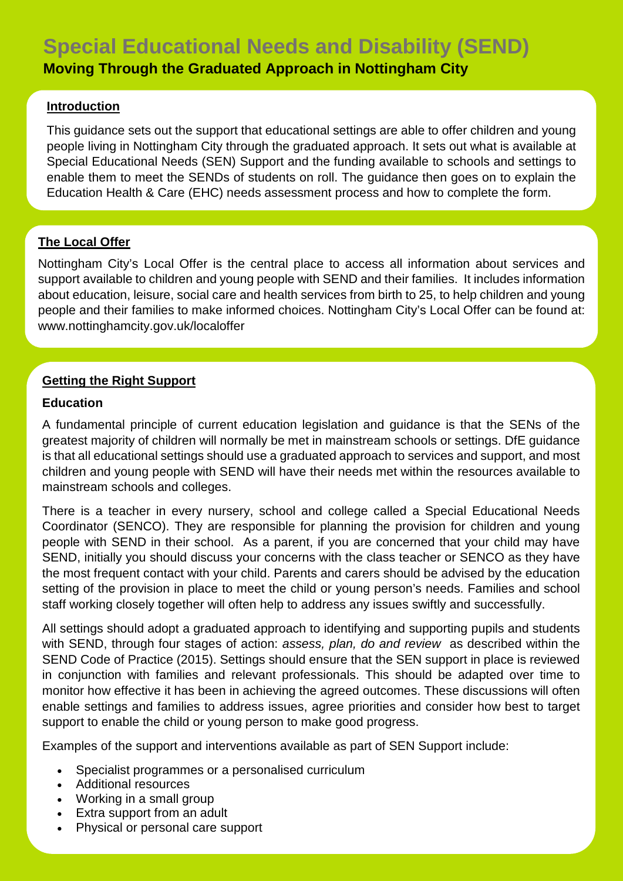# **Special Educational Needs and Disability (SEND)**

# **Moving Through the Graduated Approach in Nottingham City**

### **Introduction**

This guidance sets out the support that educational settings are able to offer children and young people living in Nottingham City through the graduated approach. It sets out what is available at Special Educational Needs (SEN) Support and the funding available to schools and settings to enable them to meet the SENDs of students on roll. The guidance then goes on to explain the Education Health & Care (EHC) needs assessment process and how to complete the form.

# **The Local Offer**

Nottingham City's Local Offer is the central place to access all information about services and support available to children and young people with SEND and their families. It includes information about education, leisure, social care and health services from birth to 25, to help children and young people and their families to make informed choices. Nottingham City's Local Offer can be found at: [www.nottinghamcity.gov.uk/localoffer](http://www.nottinghamcity.gov.uk/localoffer)

#### **Getting the Right Support**

#### **Education**

A fundamental principle of current education legislation and guidance is that the SENs of the greatest majority of children will normally be met in mainstream schools or settings. DfE guidance is that all educational settings should use a graduated approach to services and support, and most children and young people with SEND will have their needs met within the resources available to mainstream schools and colleges.

There is a teacher in every nursery, school and college called a Special Educational Needs Coordinator (SENCO). They are responsible for planning the provision for children and young people with SEND in their school. As a parent, if you are concerned that your child may have SEND, initially you should discuss your concerns with the class teacher or SENCO as they have the most frequent contact with your child. Parents and carers should be advised by the education setting of the provision in place to meet the child or young person's needs. Families and school staff working closely together will often help to address any issues swiftly and successfully.

All settings should adopt a graduated approach to identifying and supporting pupils and students with SEND, through four stages of action: *assess, plan, do and review* as described within the SEND Code of Practice (2015). Settings should ensure that the SEN support in place is reviewed in conjunction with families and relevant professionals. This should be adapted over time to monitor how effective it has been in achieving the agreed outcomes. These discussions will often enable settings and families to address issues, agree priorities and consider how best to target support to enable the child or young person to make good progress.

Examples of the support and interventions available as part of SEN Support include:

- Specialist programmes or a personalised curriculum
- Additional resources
- Working in a small group
- Extra support from an adult
- Physical or personal care support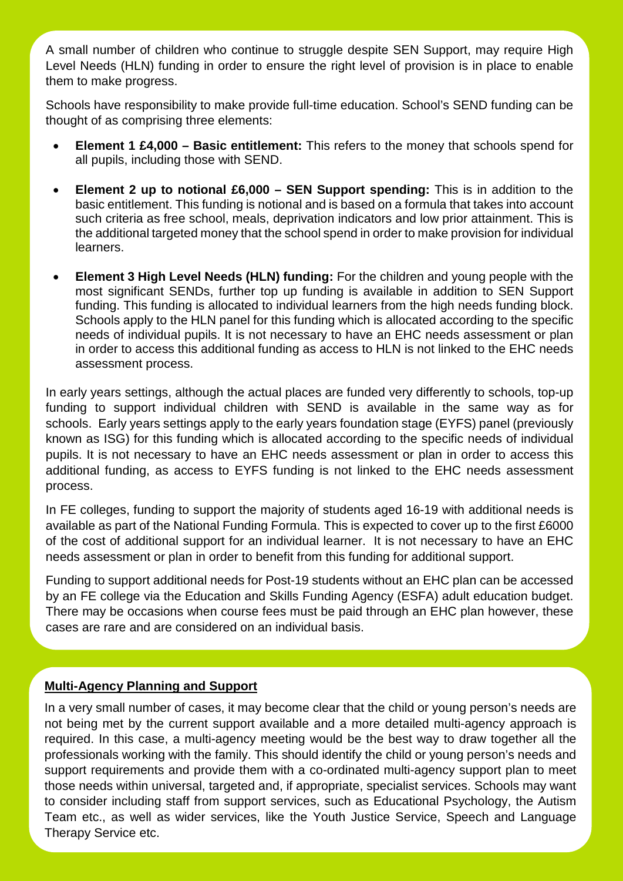A small number of children who continue to struggle despite SEN Support, may require High Level Needs (HLN) funding in order to ensure the right level of provision is in place to enable them to make progress.

Schools have responsibility to make provide full-time education. School's SEND funding can be thought of as comprising three elements:

- **Element 1 £4,000 – Basic entitlement:** This refers to the money that schools spend for all pupils, including those with SEND.
- **Element 2 up to notional £6,000 – SEN Support spending:** This is in addition to the basic entitlement. This funding is notional and is based on a formula that takes into account such criteria as free school, meals, deprivation indicators and low prior attainment. This is the additional targeted money that the school spend in order to make provision for individual learners.
- **Element 3 High Level Needs (HLN) funding:** For the children and young people with the most significant SENDs, further top up funding is available in addition to SEN Support funding. This funding is allocated to individual learners from the high needs funding block. Schools apply to the HLN panel for this funding which is allocated according to the specific needs of individual pupils. It is not necessary to have an EHC needs assessment or plan in order to access this additional funding as access to HLN is not linked to the EHC needs assessment process.

In early years settings, although the actual places are funded very differently to schools, top-up funding to support individual children with SEND is available in the same way as for schools. Early years settings apply to the early years foundation stage (EYFS) panel (previously known as ISG) for this funding which is allocated according to the specific needs of individual pupils. It is not necessary to have an EHC needs assessment or plan in order to access this additional funding, as access to EYFS funding is not linked to the EHC needs assessment process.

In FE colleges, funding to support the majority of students aged 16-19 with additional needs is available as part of the National Funding Formula. This is expected to cover up to the first £6000 of the cost of additional support for an individual learner. It is not necessary to have an EHC needs assessment or plan in order to benefit from this funding for additional support.

Funding to support additional needs for Post-19 students without an EHC plan can be accessed by an FE college via the Education and Skills Funding Agency (ESFA) adult education budget. There may be occasions when course fees must be paid through an EHC plan however, these cases are rare and are considered on an individual basis.

#### **Multi-Agency Planning and Support**

In a very small number of cases, it may become clear that the child or young person's needs are not being met by the current support available and a more detailed multi-agency approach is required. In this case, a multi-agency meeting would be the best way to draw together all the professionals working with the family. This should identify the child or young person's needs and support requirements and provide them with a co-ordinated multi-agency support plan to meet those needs within universal, targeted and, if appropriate, specialist services. Schools may want to consider including staff from support services, such as Educational Psychology, the Autism Team etc., as well as wider services, like the Youth Justice Service, Speech and Language Therapy Service etc.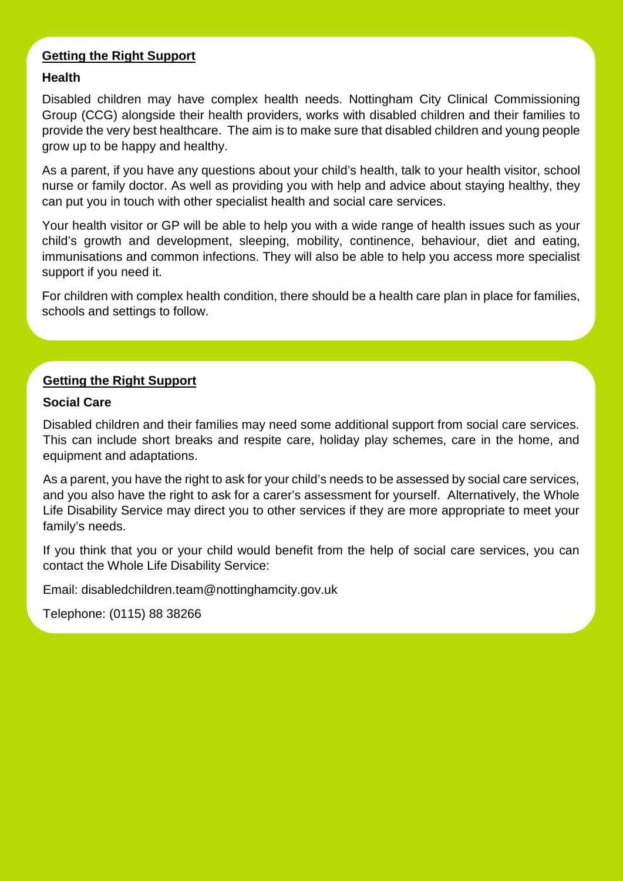# **Getting the Right Support**

#### **Health**

Disabled children may have complex health needs. Nottingham City Clinical Commissioning Group (CCG) alongside their health providers, works with disabled children and their families to provide the very best healthcare. The aim is to make sure that disabled children and young people grow up to be happy and healthy.

As a parent, if you have any questions about your child's health, talk to your health visitor, school nurse or family doctor. As well as providing you with help and advice about staying healthy, they can put you in touch with other specialist health and social care services.

Your health visitor or GP will be able to help you with a wide range of health issues such as your child's growth and development, sleeping, mobility, continence, behaviour, diet and eating, immunisations and common infections. They will also be able to help you access more specialist support if you need it.

For children with complex health condition, there should be a health care plan in place for families, schools and settings to follow.

#### **Getting the Right Support**

#### **Social Care**

Disabled children and their families may need some additional support from social care services. This can include short breaks and respite care, holiday play schemes, care in the home, and equipment and adaptations.

As a parent, you have the right to ask for your child's needs to be assessed by social care services, and you also have the right to ask for a carer's assessment for yourself. Alternatively, the Whole Life Disability Service may direct you to other services if they are more appropriate to meet your family's needs.

If you think that you or your child would benefit from the help of social care services, you can contact the Whole Life Disability Service:

Email: [disabledchildren.team@nottinghamcity.gov.uk](mailto:disabledchildren.team@nottinghamcity.gov.uk)

Telephone: (0115) 88 38266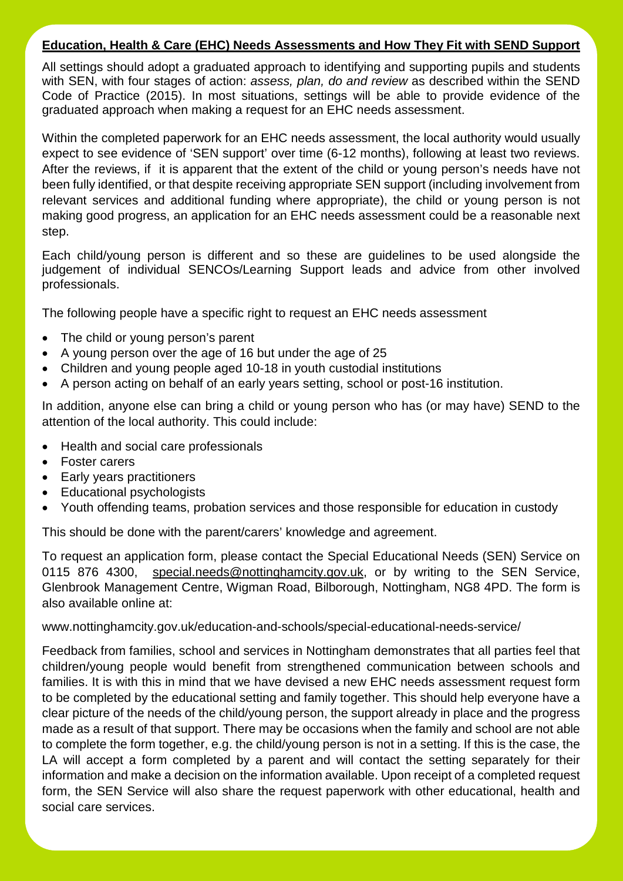#### **Education, Health & Care (EHC) Needs Assessments and How They Fit with SEND Support**

All settings should adopt a graduated approach to identifying and supporting pupils and students with SEN, with four stages of action: *assess, plan, do and review* as described within the SEND Code of Practice (2015). In most situations, settings will be able to provide evidence of the graduated approach when making a request for an EHC needs assessment.

Within the completed paperwork for an EHC needs assessment, the local authority would usually expect to see evidence of 'SEN support' over time (6-12 months), following at least two reviews. After the reviews, if it is apparent that the extent of the child or young person's needs have not been fully identified, or that despite receiving appropriate SEN support (including involvement from relevant services and additional funding where appropriate), the child or young person is not making good progress, an application for an EHC needs assessment could be a reasonable next step.

Each child/young person is different and so these are guidelines to be used alongside the judgement of individual SENCOs/Learning Support leads and advice from other involved professionals.

The following people have a specific right to request an EHC needs assessment

- The child or young person's parent
- A young person over the age of 16 but under the age of 25
- Children and young people aged 10-18 in youth custodial institutions
- A person acting on behalf of an early years setting, school or post-16 institution.

In addition, anyone else can bring a child or young person who has (or may have) SEND to the attention of the local authority. This could include:

- Health and social care professionals
- Foster carers
- Early years practitioners
- Educational psychologists
- Youth offending teams, probation services and those responsible for education in custody

This should be done with the parent/carers' knowledge and agreement.

To request an application form, please contact the Special Educational Needs (SEN) Service on 0115 876 4300, [special.needs@nottinghamcity.gov.uk,](mailto:special.needs@nottinghamcity.gov.uk) or by writing to the SEN Service, Glenbrook Management Centre, Wigman Road, Bilborough, Nottingham, NG8 4PD. The form is also available online at:

#### [www.nottinghamcity.gov.uk/education-and-schools/special-educational-needs-service/](http://www.nottinghamcity.gov.uk/education-and-schools/special-educational-needs-service/)

Feedback from families, school and services in Nottingham demonstrates that all parties feel that children/young people would benefit from strengthened communication between schools and families. It is with this in mind that we have devised a new EHC needs assessment request form to be completed by the educational setting and family together. This should help everyone have a clear picture of the needs of the child/young person, the support already in place and the progress made as a result of that support. There may be occasions when the family and school are not able to complete the form together, e.g. the child/young person is not in a setting. If this is the case, the LA will accept a form completed by a parent and will contact the setting separately for their information and make a decision on the information available. Upon receipt of a completed request form, the SEN Service will also share the request paperwork with other educational, health and social care services.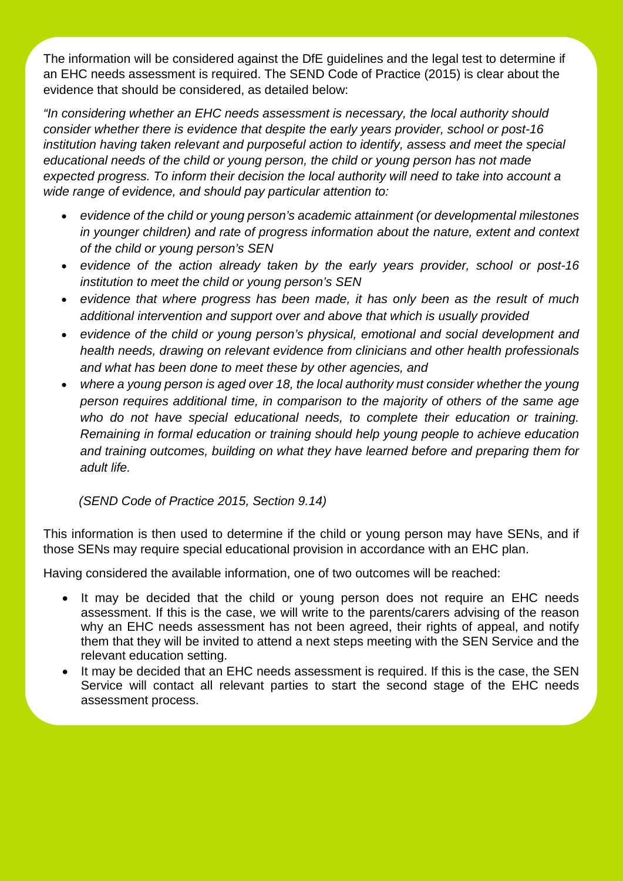The information will be considered against the DfE guidelines and the legal test to determine if an EHC needs assessment is required. The SEND Code of Practice (2015) is clear about the evidence that should be considered, as detailed below:

*"In considering whether an EHC needs assessment is necessary, the local authority should consider whether there is evidence that despite the early years provider, school or post-16 institution having taken relevant and purposeful action to identify, assess and meet the special educational needs of the child or young person, the child or young person has not made expected progress. To inform their decision the local authority will need to take into account a wide range of evidence, and should pay particular attention to:* 

- *evidence of the child or young person's academic attainment (or developmental milestones in younger children) and rate of progress information about the nature, extent and context of the child or young person's SEN*
- *evidence of the action already taken by the early years provider, school or post-16 institution to meet the child or young person's SEN*
- *evidence that where progress has been made, it has only been as the result of much additional intervention and support over and above that which is usually provided*
- *evidence of the child or young person's physical, emotional and social development and health needs, drawing on relevant evidence from clinicians and other health professionals and what has been done to meet these by other agencies, and*
- *where a young person is aged over 18, the local authority must consider whether the young person requires additional time, in comparison to the majority of others of the same age who do not have special educational needs, to complete their education or training. Remaining in formal education or training should help young people to achieve education and training outcomes, building on what they have learned before and preparing them for adult life.*

 *(SEND Code of Practice 2015, Section 9.14)*

This information is then used to determine if the child or young person may have SENs, and if those SENs may require special educational provision in accordance with an EHC plan.

Having considered the available information, one of two outcomes will be reached:

- It may be decided that the child or young person does not require an EHC needs assessment. If this is the case, we will write to the parents/carers advising of the reason why an EHC needs assessment has not been agreed, their rights of appeal, and notify them that they will be invited to attend a next steps meeting with the SEN Service and the relevant education setting.
- It may be decided that an EHC needs assessment is required. If this is the case, the SEN Service will contact all relevant parties to start the second stage of the EHC needs assessment process.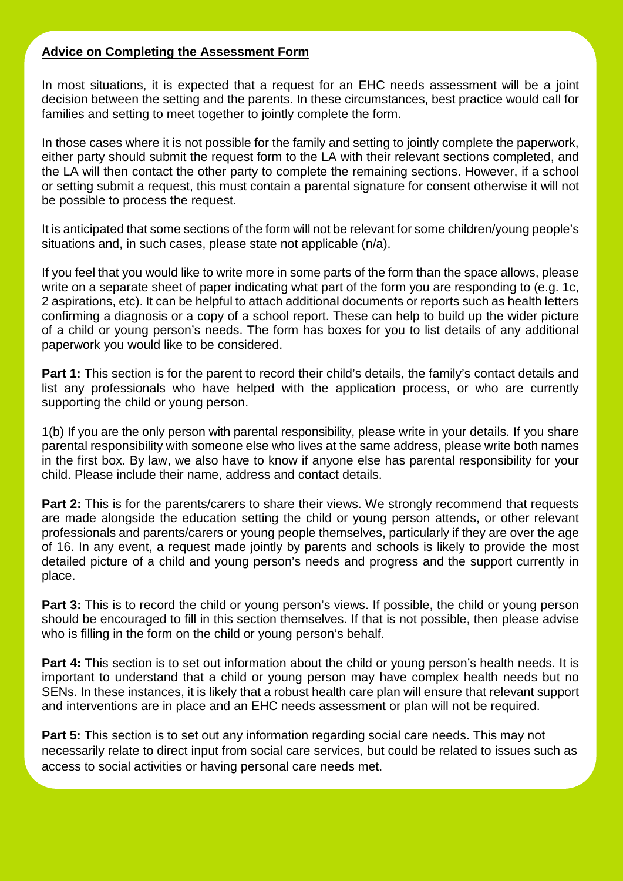# **Advice on Completing the Assessment Form**

In most situations, it is expected that a request for an EHC needs assessment will be a joint decision between the setting and the parents. In these circumstances, best practice would call for families and setting to meet together to jointly complete the form.

In those cases where it is not possible for the family and setting to jointly complete the paperwork, either party should submit the request form to the LA with their relevant sections completed, and the LA will then contact the other party to complete the remaining sections. However, if a school or setting submit a request, this must contain a parental signature for consent otherwise it will not be possible to process the request.

It is anticipated that some sections of the form will not be relevant for some children/young people's situations and, in such cases, please state not applicable (n/a).

If you feel that you would like to write more in some parts of the form than the space allows, please write on a separate sheet of paper indicating what part of the form you are responding to (e.g. 1c, 2 aspirations, etc). It can be helpful to attach additional documents or reports such as health letters confirming a diagnosis or a copy of a school report. These can help to build up the wider picture of a child or young person's needs. The form has boxes for you to list details of any additional paperwork you would like to be considered.

**Part 1:** This section is for the parent to record their child's details, the family's contact details and list any professionals who have helped with the application process, or who are currently supporting the child or young person.

1(b) If you are the only person with parental responsibility, please write in your details. If you share parental responsibility with someone else who lives at the same address, please write both names in the first box. By law, we also have to know if anyone else has parental responsibility for your child. Please include their name, address and contact details.

**Part 2:** This is for the parents/carers to share their views. We strongly recommend that requests are made alongside the education setting the child or young person attends, or other relevant professionals and parents/carers or young people themselves, particularly if they are over the age of 16. In any event, a request made jointly by parents and schools is likely to provide the most detailed picture of a child and young person's needs and progress and the support currently in place.

**Part 3:** This is to record the child or young person's views. If possible, the child or young person should be encouraged to fill in this section themselves. If that is not possible, then please advise who is filling in the form on the child or young person's behalf.

**Part 4:** This section is to set out information about the child or young person's health needs. It is important to understand that a child or young person may have complex health needs but no SENs. In these instances, it is likely that a robust health care plan will ensure that relevant support and interventions are in place and an EHC needs assessment or plan will not be required.

**Part 5:** This section is to set out any information regarding social care needs. This may not necessarily relate to direct input from social care services, but could be related to issues such as access to social activities or having personal care needs met.